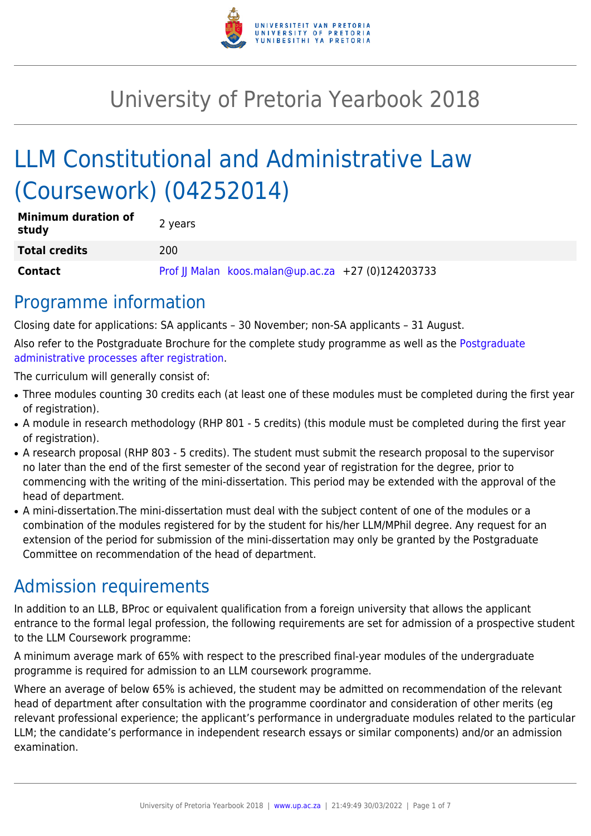

# University of Pretoria Yearbook 2018

# LLM Constitutional and Administrative Law (Coursework) (04252014)

| <b>Minimum duration of</b><br>study | 2 years                                            |
|-------------------------------------|----------------------------------------------------|
| <b>Total credits</b>                | 200                                                |
| <b>Contact</b>                      | Prof JJ Malan koos.malan@up.ac.za +27 (0)124203733 |

### Programme information

Closing date for applications: SA applicants – 30 November; non-SA applicants – 31 August.

Also refer to the Postgraduate Brochure for the complete study programme as well as the [Postgraduate](http://www.up.ac.za/media/shared/10/ZP_Files/post-graduate-administrative-processes-brochures-for-the-faculty-web.zp124870.pdf) [administrative processes after registration.](http://www.up.ac.za/media/shared/10/ZP_Files/post-graduate-administrative-processes-brochures-for-the-faculty-web.zp124870.pdf)

The curriculum will generally consist of:

- Three modules counting 30 credits each (at least one of these modules must be completed during the first year of registration).
- A module in research methodology (RHP 801 5 credits) (this module must be completed during the first year of registration).
- A research proposal (RHP 803 5 credits). The student must submit the research proposal to the supervisor no later than the end of the first semester of the second year of registration for the degree, prior to commencing with the writing of the mini-dissertation. This period may be extended with the approval of the head of department.
- A mini-dissertation. The mini-dissertation must deal with the subject content of one of the modules or a combination of the modules registered for by the student for his/her LLM/MPhil degree. Any request for an extension of the period for submission of the mini-dissertation may only be granted by the Postgraduate Committee on recommendation of the head of department.

## Admission requirements

In addition to an LLB, BProc or equivalent qualification from a foreign university that allows the applicant entrance to the formal legal profession, the following requirements are set for admission of a prospective student to the LLM Coursework programme:

A minimum average mark of 65% with respect to the prescribed final-year modules of the undergraduate programme is required for admission to an LLM coursework programme.

Where an average of below 65% is achieved, the student may be admitted on recommendation of the relevant head of department after consultation with the programme coordinator and consideration of other merits (eg relevant professional experience; the applicant's performance in undergraduate modules related to the particular LLM; the candidate's performance in independent research essays or similar components) and/or an admission examination.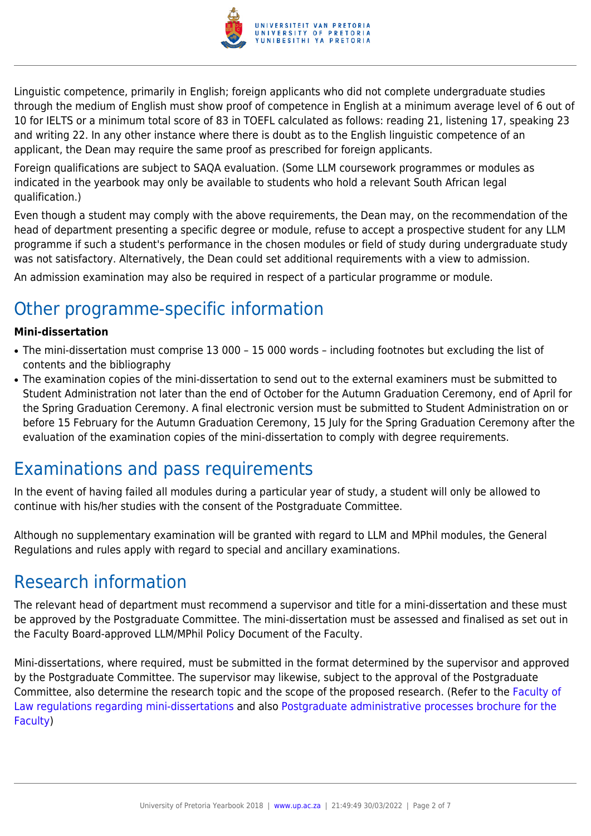

Linguistic competence, primarily in English; foreign applicants who did not complete undergraduate studies through the medium of English must show proof of competence in English at a minimum average level of 6 out of 10 for IELTS or a minimum total score of 83 in TOEFL calculated as follows: reading 21, listening 17, speaking 23 and writing 22. In any other instance where there is doubt as to the English linguistic competence of an applicant, the Dean may require the same proof as prescribed for foreign applicants.

Foreign qualifications are subject to SAQA evaluation. (Some LLM coursework programmes or modules as indicated in the yearbook may only be available to students who hold a relevant South African legal qualification.)

Even though a student may comply with the above requirements, the Dean may, on the recommendation of the head of department presenting a specific degree or module, refuse to accept a prospective student for any LLM programme if such a student's performance in the chosen modules or field of study during undergraduate study was not satisfactory. Alternatively, the Dean could set additional requirements with a view to admission.

An admission examination may also be required in respect of a particular programme or module.

# Other programme-specific information

#### **Mini-dissertation**

- The mini-dissertation must comprise 13 000 15 000 words including footnotes but excluding the list of contents and the bibliography
- The examination copies of the mini-dissertation to send out to the external examiners must be submitted to Student Administration not later than the end of October for the Autumn Graduation Ceremony, end of April for the Spring Graduation Ceremony. A final electronic version must be submitted to Student Administration on or before 15 February for the Autumn Graduation Ceremony, 15 July for the Spring Graduation Ceremony after the evaluation of the examination copies of the mini-dissertation to comply with degree requirements.

### Examinations and pass requirements

In the event of having failed all modules during a particular year of study, a student will only be allowed to continue with his/her studies with the consent of the Postgraduate Committee.

Although no supplementary examination will be granted with regard to LLM and MPhil modules, the General Regulations and rules apply with regard to special and ancillary examinations.

### Research information

The relevant head of department must recommend a supervisor and title for a mini-dissertation and these must be approved by the Postgraduate Committee. The mini-dissertation must be assessed and finalised as set out in the Faculty Board-approved LLM/MPhil Policy Document of the Faculty.

Mini-dissertations, where required, must be submitted in the format determined by the supervisor and approved by the Postgraduate Committee. The supervisor may likewise, subject to the approval of the Postgraduate Committee, also determine the research topic and the scope of the proposed research. (Refer to the [Faculty of](http://www.up.ac.za/media/shared/10/ZP_Files/faculty-regulations-for-the-mini-dissertation.zp124872.pdf) [Law regulations regarding mini-dissertations](http://www.up.ac.za/media/shared/10/ZP_Files/faculty-regulations-for-the-mini-dissertation.zp124872.pdf) and also [Postgraduate administrative processes brochure for the](http://www.up.ac.za/media/shared/10/ZP_Files/post-graduate-administrative-processes-brochures-for-the-faculty-web.zp124870.pdf) [Faculty](http://www.up.ac.za/media/shared/10/ZP_Files/post-graduate-administrative-processes-brochures-for-the-faculty-web.zp124870.pdf))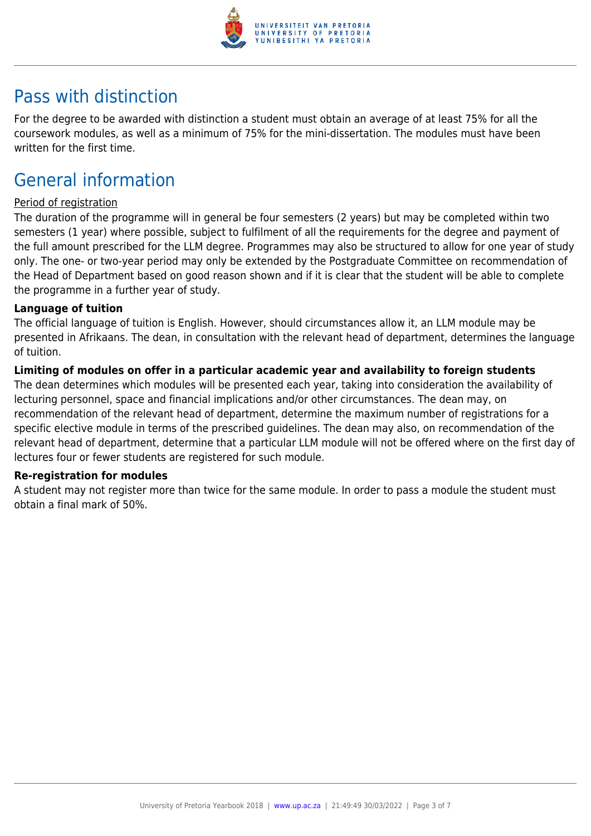

### Pass with distinction

For the degree to be awarded with distinction a student must obtain an average of at least 75% for all the coursework modules, as well as a minimum of 75% for the mini-dissertation. The modules must have been written for the first time.

## General information

#### Period of registration

The duration of the programme will in general be four semesters (2 years) but may be completed within two semesters (1 year) where possible, subject to fulfilment of all the requirements for the degree and payment of the full amount prescribed for the LLM degree. Programmes may also be structured to allow for one year of study only. The one- or two-year period may only be extended by the Postgraduate Committee on recommendation of the Head of Department based on good reason shown and if it is clear that the student will be able to complete the programme in a further year of study.

#### **Language of tuition**

The official language of tuition is English. However, should circumstances allow it, an LLM module may be presented in Afrikaans. The dean, in consultation with the relevant head of department, determines the language of tuition.

#### **Limiting of modules on offer in a particular academic year and availability to foreign students**

The dean determines which modules will be presented each year, taking into consideration the availability of lecturing personnel, space and financial implications and/or other circumstances. The dean may, on recommendation of the relevant head of department, determine the maximum number of registrations for a specific elective module in terms of the prescribed guidelines. The dean may also, on recommendation of the relevant head of department, determine that a particular LLM module will not be offered where on the first day of lectures four or fewer students are registered for such module.

#### **Re-registration for modules**

A student may not register more than twice for the same module. In order to pass a module the student must obtain a final mark of 50%.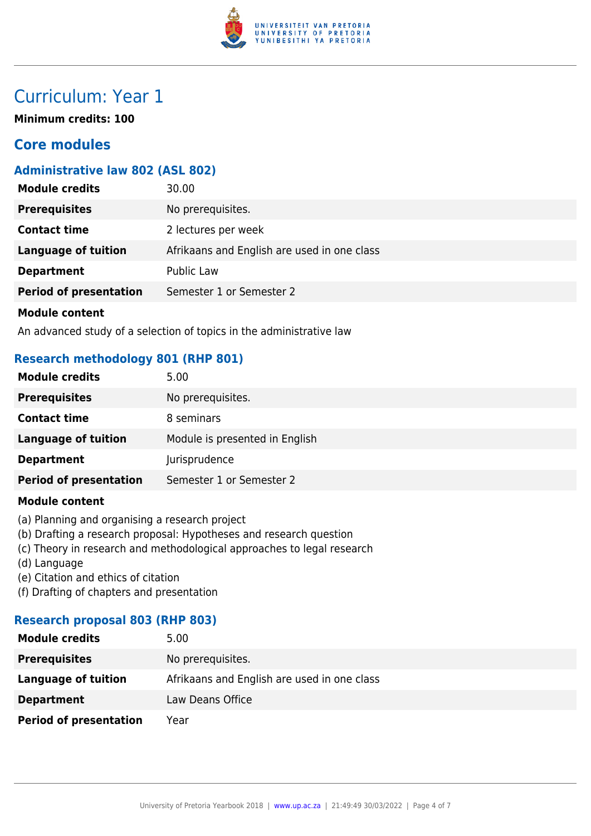

## Curriculum: Year 1

**Minimum credits: 100**

### **Core modules**

#### **Administrative law 802 (ASL 802)**

| <b>Module credits</b>         | 30.00                                       |
|-------------------------------|---------------------------------------------|
| <b>Prerequisites</b>          | No prerequisites.                           |
| <b>Contact time</b>           | 2 lectures per week                         |
| <b>Language of tuition</b>    | Afrikaans and English are used in one class |
| <b>Department</b>             | Public Law                                  |
| <b>Period of presentation</b> | Semester 1 or Semester 2                    |
| <b>Module content</b>         |                                             |

An advanced study of a selection of topics in the administrative law

#### **Research methodology 801 (RHP 801)**

| <b>Module credits</b>         | 5.00                           |
|-------------------------------|--------------------------------|
| <b>Prerequisites</b>          | No prerequisites.              |
| <b>Contact time</b>           | 8 seminars                     |
| <b>Language of tuition</b>    | Module is presented in English |
| <b>Department</b>             | Jurisprudence                  |
| <b>Period of presentation</b> | Semester 1 or Semester 2       |
|                               |                                |

#### **Module content**

- (a) Planning and organising a research project
- (b) Drafting a research proposal: Hypotheses and research question
- (c) Theory in research and methodological approaches to legal research
- (d) Language
- (e) Citation and ethics of citation
- (f) Drafting of chapters and presentation

#### **Research proposal 803 (RHP 803)**

| <b>Module credits</b>         | 5.00                                        |
|-------------------------------|---------------------------------------------|
| <b>Prerequisites</b>          | No prerequisites.                           |
| Language of tuition           | Afrikaans and English are used in one class |
| <b>Department</b>             | Law Deans Office                            |
| <b>Period of presentation</b> | Year                                        |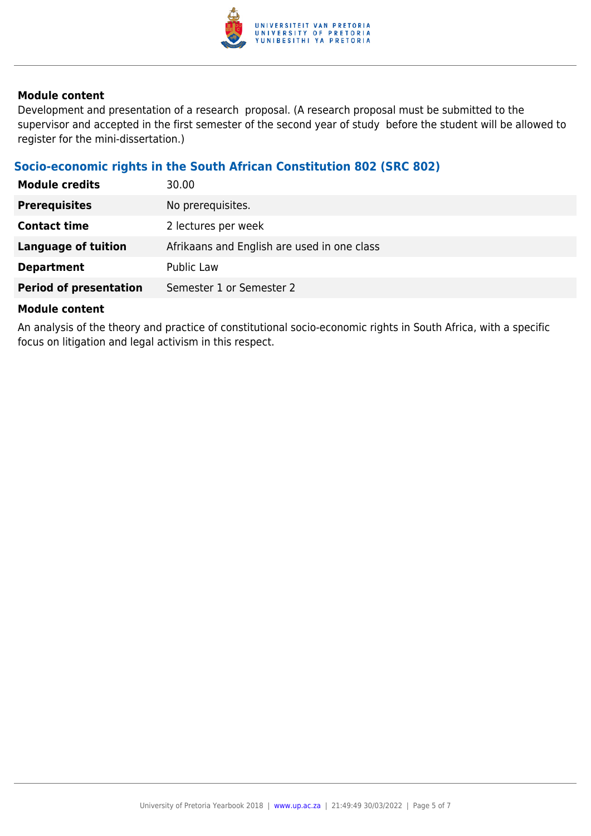

#### **Module content**

Development and presentation of a research proposal. (A research proposal must be submitted to the supervisor and accepted in the first semester of the second year of study before the student will be allowed to register for the mini-dissertation.)

### **Socio-economic rights in the South African Constitution 802 (SRC 802)**

| <b>Module credits</b>         | 30.00                                       |
|-------------------------------|---------------------------------------------|
| <b>Prerequisites</b>          | No prerequisites.                           |
| <b>Contact time</b>           | 2 lectures per week                         |
| <b>Language of tuition</b>    | Afrikaans and English are used in one class |
| <b>Department</b>             | <b>Public Law</b>                           |
| <b>Period of presentation</b> | Semester 1 or Semester 2                    |

#### **Module content**

An analysis of the theory and practice of constitutional socio-economic rights in South Africa, with a specific focus on litigation and legal activism in this respect.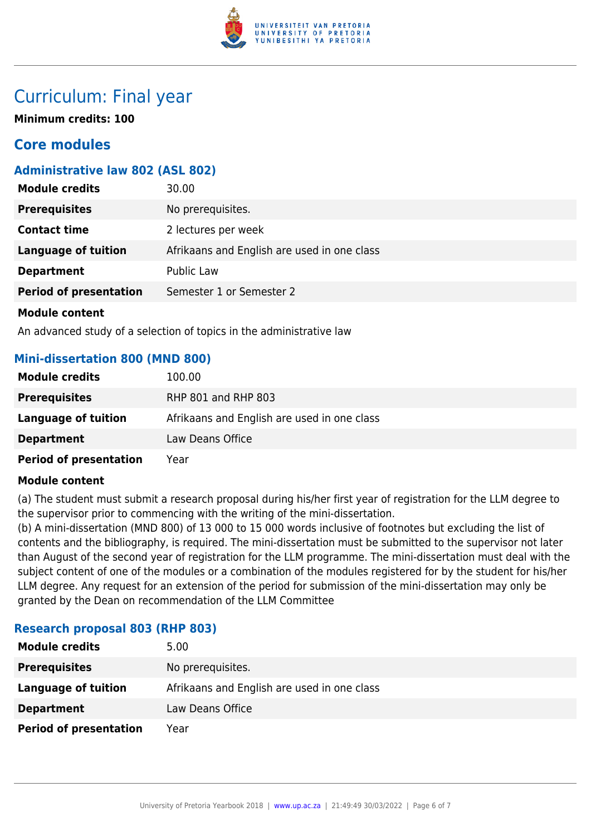

### Curriculum: Final year

**Minimum credits: 100**

### **Core modules**

#### **Administrative law 802 (ASL 802)**

| <b>Module credits</b>         | 30.00                                       |
|-------------------------------|---------------------------------------------|
| <b>Prerequisites</b>          | No prerequisites.                           |
| <b>Contact time</b>           | 2 lectures per week                         |
| <b>Language of tuition</b>    | Afrikaans and English are used in one class |
| <b>Department</b>             | Public Law                                  |
| <b>Period of presentation</b> | Semester 1 or Semester 2                    |
| <b>Module content</b>         |                                             |

An advanced study of a selection of topics in the administrative law

#### **Mini-dissertation 800 (MND 800)**

| <b>Module credits</b>         | 100.00                                      |
|-------------------------------|---------------------------------------------|
| <b>Prerequisites</b>          | RHP 801 and RHP 803                         |
| Language of tuition           | Afrikaans and English are used in one class |
| <b>Department</b>             | Law Deans Office                            |
| <b>Period of presentation</b> | Year                                        |

#### **Module content**

(a) The student must submit a research proposal during his/her first year of registration for the LLM degree to the supervisor prior to commencing with the writing of the mini-dissertation.

(b) A mini-dissertation (MND 800) of 13 000 to 15 000 words inclusive of footnotes but excluding the list of contents and the bibliography, is required. The mini-dissertation must be submitted to the supervisor not later than August of the second year of registration for the LLM programme. The mini-dissertation must deal with the subject content of one of the modules or a combination of the modules registered for by the student for his/her LLM degree. Any request for an extension of the period for submission of the mini-dissertation may only be granted by the Dean on recommendation of the LLM Committee

#### **Research proposal 803 (RHP 803)**

| <b>Module credits</b>         | 5.00                                        |
|-------------------------------|---------------------------------------------|
| <b>Prerequisites</b>          | No prerequisites.                           |
| Language of tuition           | Afrikaans and English are used in one class |
| <b>Department</b>             | Law Deans Office                            |
| <b>Period of presentation</b> | Year                                        |